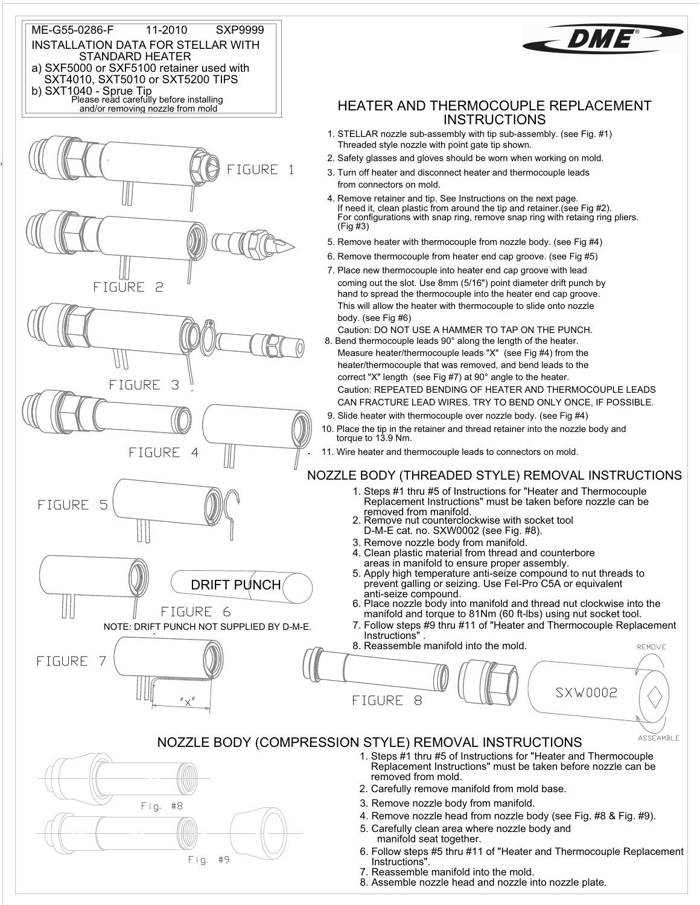